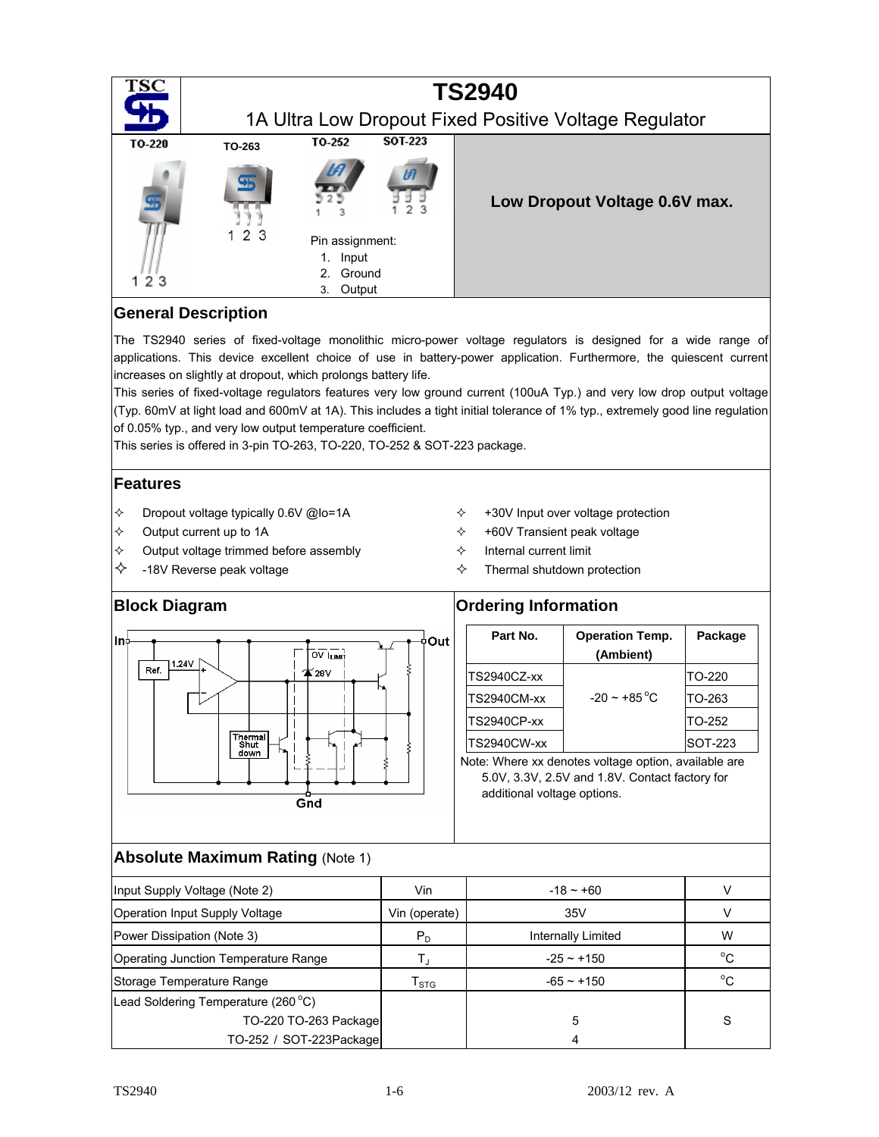

## **General Description**

The TS2940 series of fixed-voltage monolithic micro-power voltage regulators is designed for a wide range of applications. This device excellent choice of use in battery-power application. Furthermore, the quiescent current increases on slightly at dropout, which prolongs battery life.

This series of fixed-voltage regulators features very low ground current (100uA Typ.) and very low drop output voltage (Typ. 60mV at light load and 600mV at 1A). This includes a tight initial tolerance of 1% typ., extremely good line regulation of 0.05% typ., and very low output temperature coefficient.

This series is offered in 3-pin TO-263, TO-220, TO-252 & SOT-223 package.

### **Features**

- $\div$  Dropout voltage typically 0.6V @lo=1A
- $\Diamond$  Output current up to 1A
- $\diamond$  Output voltage trimmed before assembly
- $\diamondsuit$  -18V Reverse peak voltage
- $\div$  +30V Input over voltage protection
- $\div$  +60V Transient peak voltage
- $\Leftrightarrow$  Internal current limit
- $\Leftrightarrow$  Thermal shutdown protection





## **Block Diagram Construction Construction Construction Construction Construction Construction Construction Construction**

| Part No.           | <b>Operation Temp.</b><br>(Ambient) | Package |
|--------------------|-------------------------------------|---------|
| <b>TS2940CZ-xx</b> |                                     | TO-220  |
| <b>TS2940CM-xx</b> | $-20 \sim +85\,^{\circ}\mathrm{C}$  | TO-263  |
| <b>TS2940CP-xx</b> |                                     | TO-252  |
| <b>TS2940CW-xx</b> |                                     | SOT-223 |

Note: Where xx denotes voltage option, available are 5.0V, 3.3V, 2.5V and 1.8V. Contact factory for additional voltage options.

### **Absolute Maximum Rating (Note 1)**

| Input Supply Voltage (Note 2)        | Vin              | $-18 - +60$        |             |
|--------------------------------------|------------------|--------------------|-------------|
| Operation Input Supply Voltage       | Vin (operate)    | 35V                | V           |
| Power Dissipation (Note 3)           | $P_D$            | Internally Limited | W           |
| Operating Junction Temperature Range |                  | $-25 - +150$       | $^{\circ}C$ |
| Storage Temperature Range            | l <sub>STG</sub> | $-65 - +150$       | $^{\circ}C$ |
| Lead Soldering Temperature (260 °C)  |                  |                    |             |
| TO-220 TO-263 Package                |                  | 5                  | S           |
| TO-252 / SOT-223Package              |                  | 4                  |             |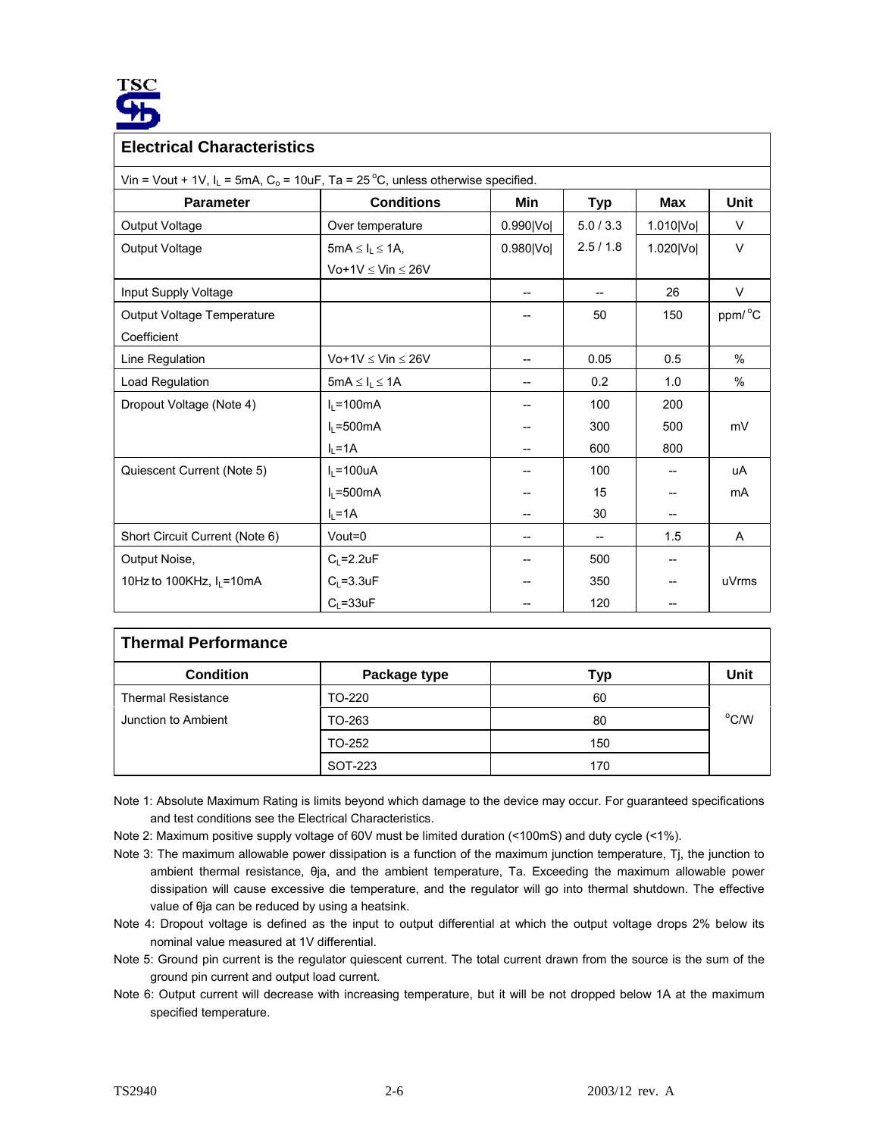

| <b>Electrical Characteristics</b>                                                               |                             |            |            |           |               |  |  |
|-------------------------------------------------------------------------------------------------|-----------------------------|------------|------------|-----------|---------------|--|--|
| Vin = Vout + 1V, $I_L$ = 5mA, $C_0$ = 10uF, Ta = 25 <sup>o</sup> C, unless otherwise specified. |                             |            |            |           |               |  |  |
| <b>Parameter</b>                                                                                | <b>Conditions</b>           | <b>Typ</b> | <b>Max</b> | Unit      |               |  |  |
| Output Voltage                                                                                  | Over temperature            | 5.0/3.3    | 1.010 Vol  | V         |               |  |  |
| Output Voltage                                                                                  | $5mA \leq I_L \leq 1A$ ,    | 0.980 Vol  | 2.5/1.8    | 1.020 Vol | $\vee$        |  |  |
|                                                                                                 | Vo+1V $\leq$ Vin $\leq$ 26V |            |            |           |               |  |  |
| Input Supply Voltage                                                                            |                             |            |            | 26        | $\vee$        |  |  |
| Output Voltage Temperature                                                                      |                             |            | 50         | 150       | ppm/°C        |  |  |
| Coefficient                                                                                     |                             |            |            |           |               |  |  |
| Line Regulation                                                                                 | Vo+1V $\leq$ Vin $\leq$ 26V |            | 0.05       | 0.5       | $\frac{0}{0}$ |  |  |
| Load Regulation                                                                                 | $5mA \leq I_L \leq 1A$      |            | 0.2        | 1.0       | $\%$          |  |  |
| Dropout Voltage (Note 4)                                                                        | $I1 = 100mA$                |            | 100        | 200       |               |  |  |
|                                                                                                 | $I1 = 500mA$                |            | 300        | 500       | mV            |  |  |
|                                                                                                 | $I_1 = 1A$                  |            | 600        | 800       |               |  |  |
| Quiescent Current (Note 5)                                                                      | $I_L = 100uA$               |            | 100        |           | uA            |  |  |
|                                                                                                 | $I1 = 500mA$                |            | 15         |           | mA            |  |  |
|                                                                                                 | $I_L = 1A$                  |            | 30         |           |               |  |  |
| Short Circuit Current (Note 6)                                                                  | $Vout=0$                    |            |            | 1.5       | A             |  |  |
| Output Noise,                                                                                   | $C_L = 2.2uF$               |            | 500        |           |               |  |  |
| 10Hz to 100KHz, $I_1 = 10mA$                                                                    | $C_L = 3.3uF$               |            | 350        |           | uVrms         |  |  |
|                                                                                                 | $C1 = 33uF$                 |            | 120        |           |               |  |  |

| <b>Thermal Performance</b> |              |     |      |  |  |  |
|----------------------------|--------------|-----|------|--|--|--|
| <b>Condition</b>           | Package type | Тур | Unit |  |  |  |
| <b>Thermal Resistance</b>  | TO-220       | 60  |      |  |  |  |
| Junction to Ambient        | TO-263       | 80  | °C/W |  |  |  |
|                            | TO-252       | 150 |      |  |  |  |
|                            | SOT-223      | 170 |      |  |  |  |

Note 1: Absolute Maximum Rating is limits beyond which damage to the device may occur. For guaranteed specifications and test conditions see the Electrical Characteristics.

Note 2: Maximum positive supply voltage of 60V must be limited duration (<100mS) and duty cycle (<1%).

- Note 3: The maximum allowable power dissipation is a function of the maximum junction temperature, Tj, the junction to ambient thermal resistance, θja, and the ambient temperature, Ta. Exceeding the maximum allowable power dissipation will cause excessive die temperature, and the regulator will go into thermal shutdown. The effective value of θja can be reduced by using a heatsink.
- Note 4: Dropout voltage is defined as the input to output differential at which the output voltage drops 2% below its nominal value measured at 1V differential.

Note 5: Ground pin current is the regulator quiescent current. The total current drawn from the source is the sum of the ground pin current and output load current.

Note 6: Output current will decrease with increasing temperature, but it will be not dropped below 1A at the maximum specified temperature.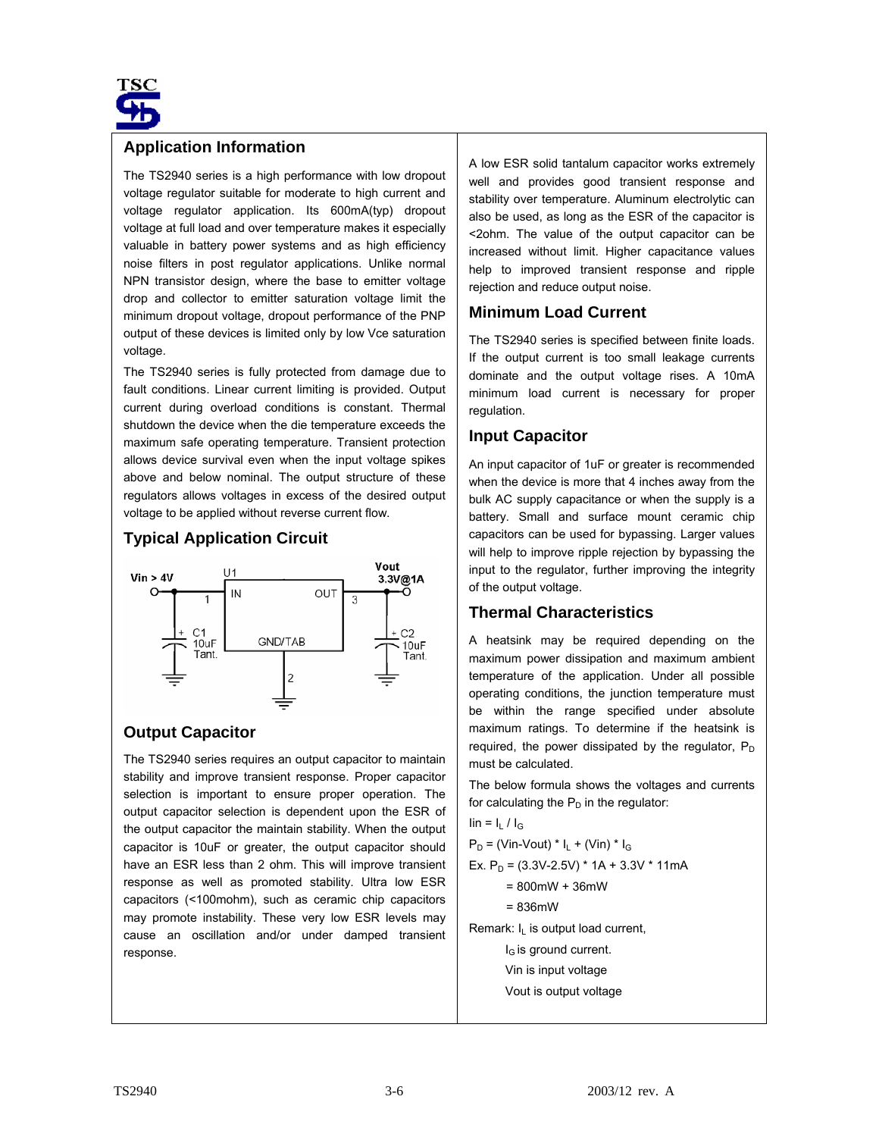

## **Application Information**

The TS2940 series is a high performance with low dropout voltage regulator suitable for moderate to high current and voltage regulator application. Its 600mA(typ) dropout voltage at full load and over temperature makes it especially valuable in battery power systems and as high efficiency noise filters in post regulator applications. Unlike normal NPN transistor design, where the base to emitter voltage drop and collector to emitter saturation voltage limit the minimum dropout voltage, dropout performance of the PNP output of these devices is limited only by low Vce saturation voltage.

The TS2940 series is fully protected from damage due to fault conditions. Linear current limiting is provided. Output current during overload conditions is constant. Thermal shutdown the device when the die temperature exceeds the maximum safe operating temperature. Transient protection allows device survival even when the input voltage spikes above and below nominal. The output structure of these regulators allows voltages in excess of the desired output voltage to be applied without reverse current flow.

## **Typical Application Circuit**



## **Output Capacitor**

The TS2940 series requires an output capacitor to maintain stability and improve transient response. Proper capacitor selection is important to ensure proper operation. The output capacitor selection is dependent upon the ESR of the output capacitor the maintain stability. When the output capacitor is 10uF or greater, the output capacitor should have an ESR less than 2 ohm. This will improve transient response as well as promoted stability. Ultra low ESR capacitors (<100mohm), such as ceramic chip capacitors may promote instability. These very low ESR levels may cause an oscillation and/or under damped transient response.

A low ESR solid tantalum capacitor works extremely well and provides good transient response and stability over temperature. Aluminum electrolytic can also be used, as long as the ESR of the capacitor is <2ohm. The value of the output capacitor can be increased without limit. Higher capacitance values help to improved transient response and ripple rejection and reduce output noise.

### **Minimum Load Current**

The TS2940 series is specified between finite loads. If the output current is too small leakage currents dominate and the output voltage rises. A 10mA minimum load current is necessary for proper regulation.

### **Input Capacitor**

An input capacitor of 1uF or greater is recommended when the device is more that 4 inches away from the bulk AC supply capacitance or when the supply is a battery. Small and surface mount ceramic chip capacitors can be used for bypassing. Larger values will help to improve ripple rejection by bypassing the input to the regulator, further improving the integrity of the output voltage.

### **Thermal Characteristics**

A heatsink may be required depending on the maximum power dissipation and maximum ambient temperature of the application. Under all possible operating conditions, the junction temperature must be within the range specified under absolute maximum ratings. To determine if the heatsink is required, the power dissipated by the regulator,  $P_D$ must be calculated.

The below formula shows the voltages and currents for calculating the  $P_D$  in the regulator:

$$
\mathsf{lin} = \mathsf{I}_\mathsf{L} \, / \, \mathsf{I}_\mathsf{G}
$$

 $P_D$  = (Vin-Vout) \*  $I_L$  + (Vin) \*  $I_G$ 

Ex.  $P_D = (3.3V - 2.5V) * 1A + 3.3V * 11mA$ 

= 800mW + 36mW

= 836mW

Remark:  $I<sub>L</sub>$  is output load current,

 $I_G$  is ground current.

- Vin is input voltage
- Vout is output voltage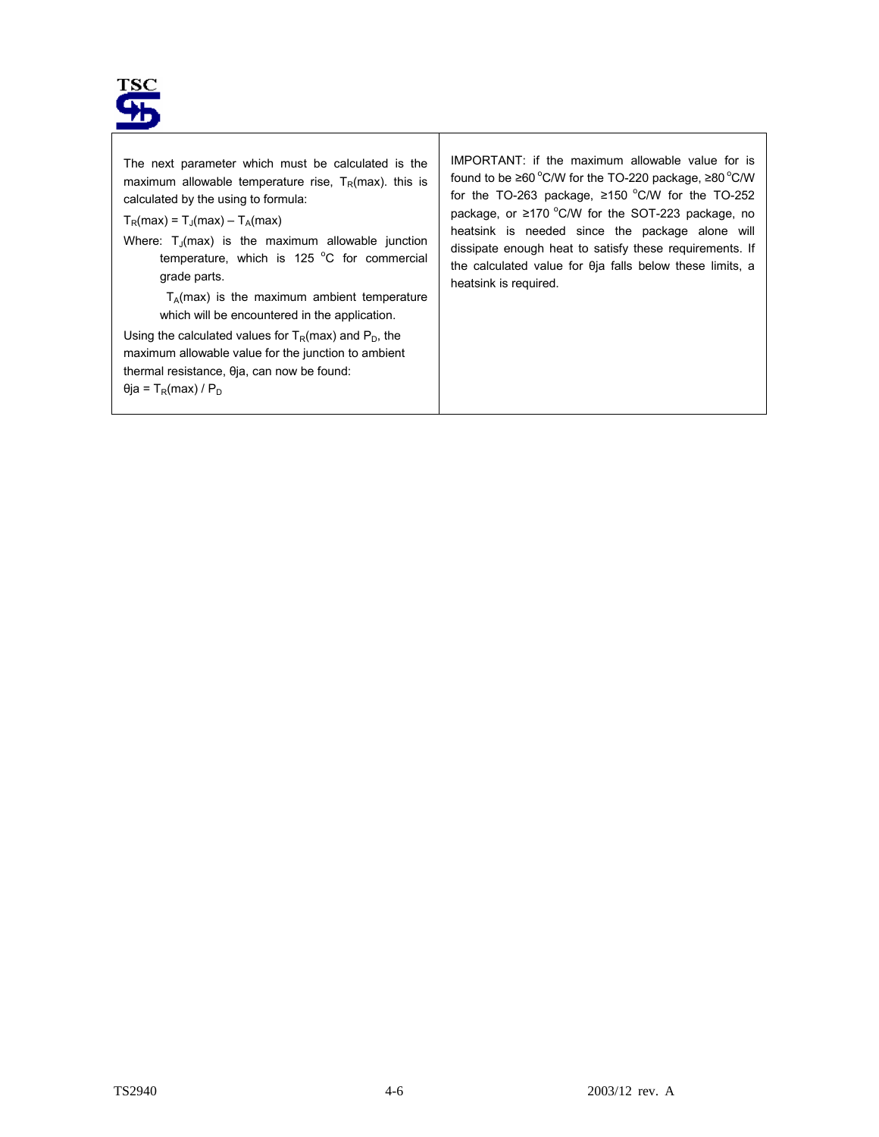

| The next parameter which must be calculated is the<br>maximum allowable temperature rise, $T_R$ (max) this is<br>calculated by the using to formula:<br>$T_R(max) = T_A(max) - T_A(max)$<br>Where: $T_{\parallel}$ (max) is the maximum allowable junction<br>temperature, which is 125 °C for commercial<br>grade parts.<br>$T_A$ (max) is the maximum ambient temperature<br>which will be encountered in the application. | IMPORTANT if the maximum allowable value for is<br>found to be ≥60 °C/W for the TO-220 package, ≥80 °C/W<br>for the TO-263 package, $\geq$ 150 °C/W for the TO-252<br>package, or $\geq$ 170 °C/W for the SOT-223 package, no<br>heatsink is needed since the package alone will<br>dissipate enough heat to satisfy these requirements. If<br>the calculated value for $\theta$ a falls below these limits, a<br>heatsink is required. |
|------------------------------------------------------------------------------------------------------------------------------------------------------------------------------------------------------------------------------------------------------------------------------------------------------------------------------------------------------------------------------------------------------------------------------|-----------------------------------------------------------------------------------------------------------------------------------------------------------------------------------------------------------------------------------------------------------------------------------------------------------------------------------------------------------------------------------------------------------------------------------------|
| Using the calculated values for $T_R$ (max) and $P_D$ , the<br>maximum allowable value for the junction to ambient<br>thermal resistance, θja, can now be found:<br>$\theta$ ja = T <sub>R</sub> (max) / P <sub>D</sub>                                                                                                                                                                                                      |                                                                                                                                                                                                                                                                                                                                                                                                                                         |

Т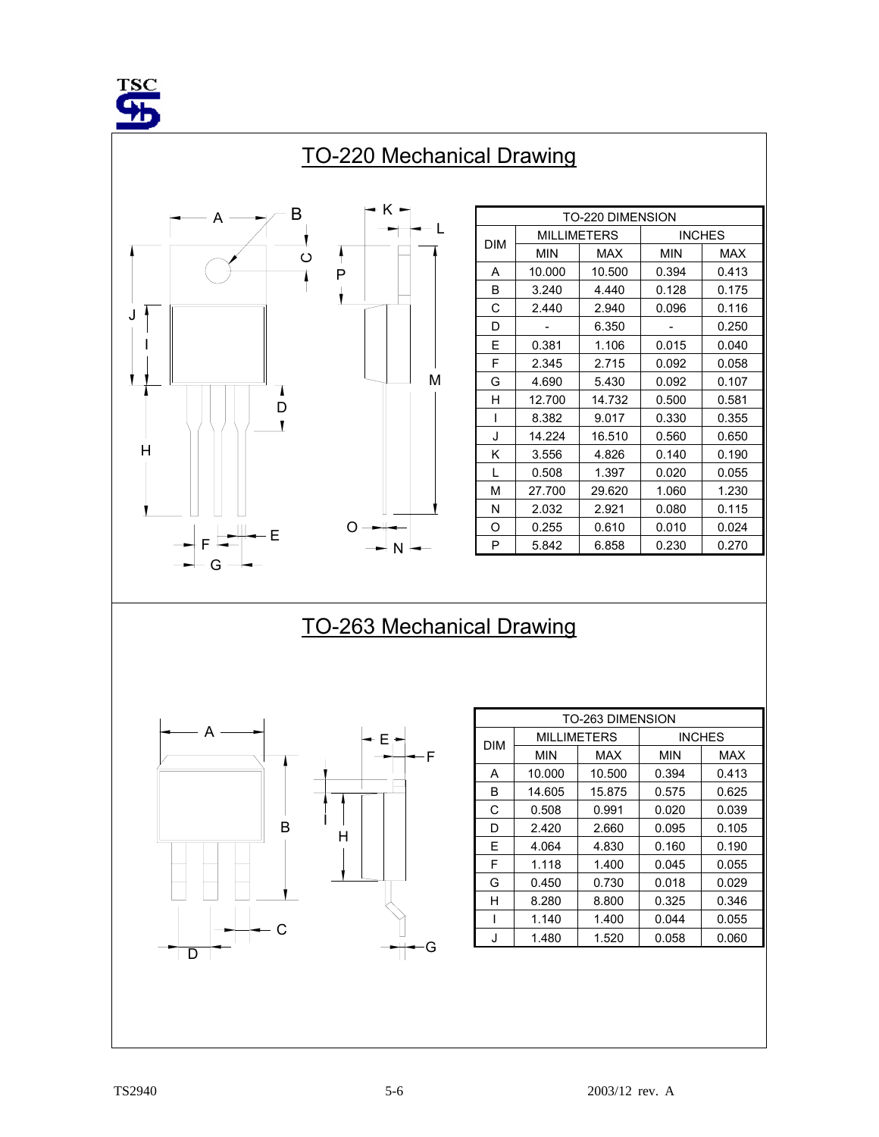